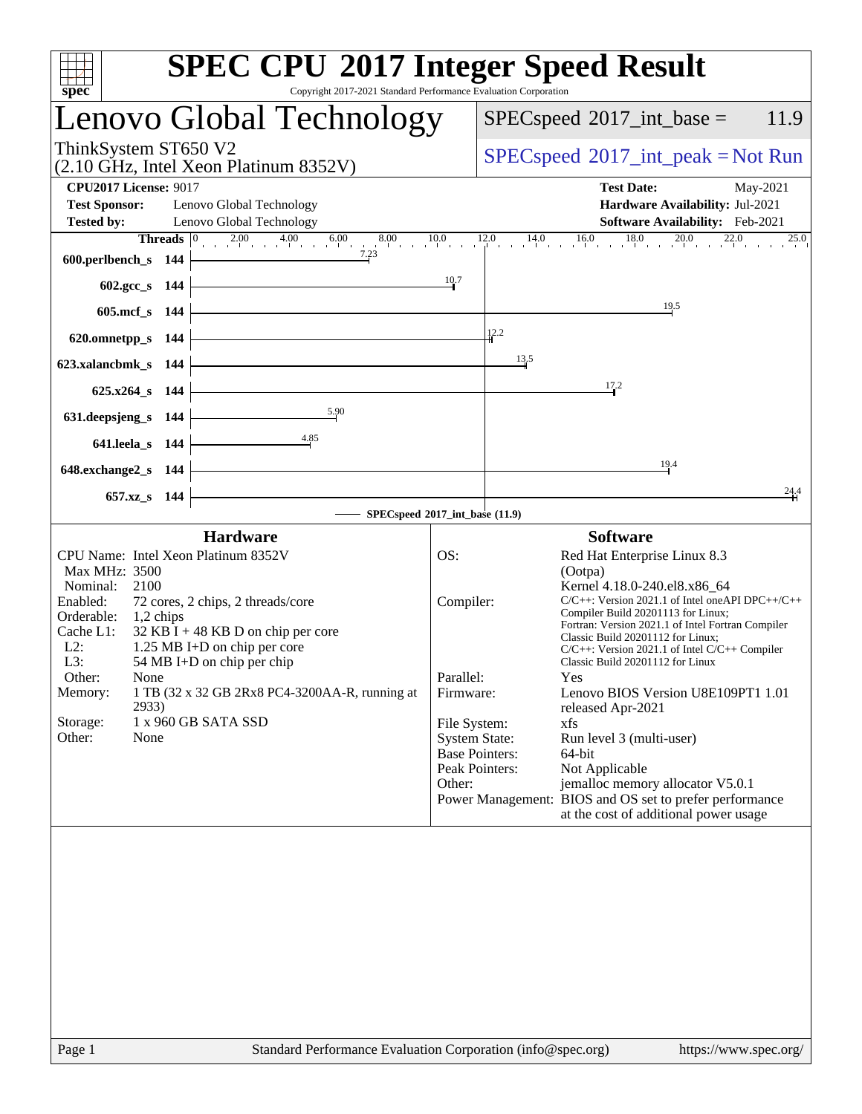| <b>SPEC CPU®2017 Integer Speed Result</b><br>Copyright 2017-2021 Standard Performance Evaluation Corporation<br>spec <sup>®</sup>                                                                                                                                                                                                                                                                                                                                                                                                          |                                                      |                                                                                                                                                                                                                                                                                                                                                                                                                                                                                                                                                                                                                                                                                                                                                                  |
|--------------------------------------------------------------------------------------------------------------------------------------------------------------------------------------------------------------------------------------------------------------------------------------------------------------------------------------------------------------------------------------------------------------------------------------------------------------------------------------------------------------------------------------------|------------------------------------------------------|------------------------------------------------------------------------------------------------------------------------------------------------------------------------------------------------------------------------------------------------------------------------------------------------------------------------------------------------------------------------------------------------------------------------------------------------------------------------------------------------------------------------------------------------------------------------------------------------------------------------------------------------------------------------------------------------------------------------------------------------------------------|
| Lenovo Global Technology                                                                                                                                                                                                                                                                                                                                                                                                                                                                                                                   |                                                      | $SPEC speed^{\circ}2017\_int\_base =$<br>11.9                                                                                                                                                                                                                                                                                                                                                                                                                                                                                                                                                                                                                                                                                                                    |
| ThinkSystem ST650 V2<br>(2.10 GHz, Intel Xeon Platinum 8352V)                                                                                                                                                                                                                                                                                                                                                                                                                                                                              |                                                      | $SPEC speed^{\circ}2017\_int\_peak = Not Run$                                                                                                                                                                                                                                                                                                                                                                                                                                                                                                                                                                                                                                                                                                                    |
| <b>CPU2017 License: 9017</b><br><b>Test Sponsor:</b><br>Lenovo Global Technology<br><b>Tested by:</b><br>Lenovo Global Technology                                                                                                                                                                                                                                                                                                                                                                                                          |                                                      | <b>Test Date:</b><br>May-2021<br>Hardware Availability: Jul-2021<br>Software Availability: Feb-2021                                                                                                                                                                                                                                                                                                                                                                                                                                                                                                                                                                                                                                                              |
| <b>Threads</b> $\begin{bmatrix} 0 & 2.00 & 4.00 & 6.00 \end{bmatrix}$ 8<br>$8.00 \qquad 10.0 \qquad 1$<br>600.perlbench_s 144                                                                                                                                                                                                                                                                                                                                                                                                              |                                                      | $12.0$ $14.0$ $16.0$ $18.0$ $20.0$ $22.0$<br>12.0<br>25.0                                                                                                                                                                                                                                                                                                                                                                                                                                                                                                                                                                                                                                                                                                        |
| $602.\text{gcc}\,s$ 144<br>605.mcf_s 144                                                                                                                                                                                                                                                                                                                                                                                                                                                                                                   | 10.7                                                 | 19.5                                                                                                                                                                                                                                                                                                                                                                                                                                                                                                                                                                                                                                                                                                                                                             |
| 620.omnetpp_s 144<br>623.xalancbmk_s 144                                                                                                                                                                                                                                                                                                                                                                                                                                                                                                   |                                                      | 12.2<br>13,5                                                                                                                                                                                                                                                                                                                                                                                                                                                                                                                                                                                                                                                                                                                                                     |
| $625.x264$ <sub>S</sub> 144<br>5.90                                                                                                                                                                                                                                                                                                                                                                                                                                                                                                        |                                                      | 17.2                                                                                                                                                                                                                                                                                                                                                                                                                                                                                                                                                                                                                                                                                                                                                             |
| 631.deepsjeng_s 144<br>4.85<br>641.leela_s 144                                                                                                                                                                                                                                                                                                                                                                                                                                                                                             |                                                      |                                                                                                                                                                                                                                                                                                                                                                                                                                                                                                                                                                                                                                                                                                                                                                  |
| 648.exchange2_s 144<br>657.xz_s 144                                                                                                                                                                                                                                                                                                                                                                                                                                                                                                        |                                                      | 19.4<br>24.4                                                                                                                                                                                                                                                                                                                                                                                                                                                                                                                                                                                                                                                                                                                                                     |
| SPECspeed®2017_int_base (11.9)                                                                                                                                                                                                                                                                                                                                                                                                                                                                                                             |                                                      |                                                                                                                                                                                                                                                                                                                                                                                                                                                                                                                                                                                                                                                                                                                                                                  |
| <b>Hardware</b><br>CPU Name: Intel Xeon Platinum 8352V<br><b>Max MHz: 3500</b><br>Nominal:<br>2100<br>Enabled:<br>72 cores, 2 chips, 2 threads/core<br>Orderable:<br>$1,2$ chips<br>Cache L1:<br>$32$ KB I + 48 KB D on chip per core<br>$L2$ :<br>1.25 MB I+D on chip per core<br>L3:<br>54 MB I+D on chip per chip<br>Other:<br>None<br>1 TB (32 x 32 GB 2Rx8 PC4-3200AA-R, running at<br>Memory:<br>2933)<br>Storage:<br>1 x 960 GB SATA SSD<br>Other:<br>None<br>Page 1<br>Standard Performance Evaluation Corporation (info@spec.org) | OS:<br>Compiler:<br>Parallel:<br>Firmware:<br>Other: | <b>Software</b><br>Red Hat Enterprise Linux 8.3<br>(Ootpa)<br>Kernel 4.18.0-240.el8.x86_64<br>$C/C++$ : Version 2021.1 of Intel one API DPC++/C++<br>Compiler Build 20201113 for Linux;<br>Fortran: Version 2021.1 of Intel Fortran Compiler<br>Classic Build 20201112 for Linux;<br>$C/C++$ : Version 2021.1 of Intel $C/C++$ Compiler<br>Classic Build 20201112 for Linux<br>Yes<br>Lenovo BIOS Version U8E109PT1 1.01<br>released Apr-2021<br>File System:<br>xfs<br><b>System State:</b><br>Run level 3 (multi-user)<br><b>Base Pointers:</b><br>64-bit<br>Not Applicable<br>Peak Pointers:<br>jemalloc memory allocator V5.0.1<br>Power Management: BIOS and OS set to prefer performance<br>at the cost of additional power usage<br>https://www.spec.org/ |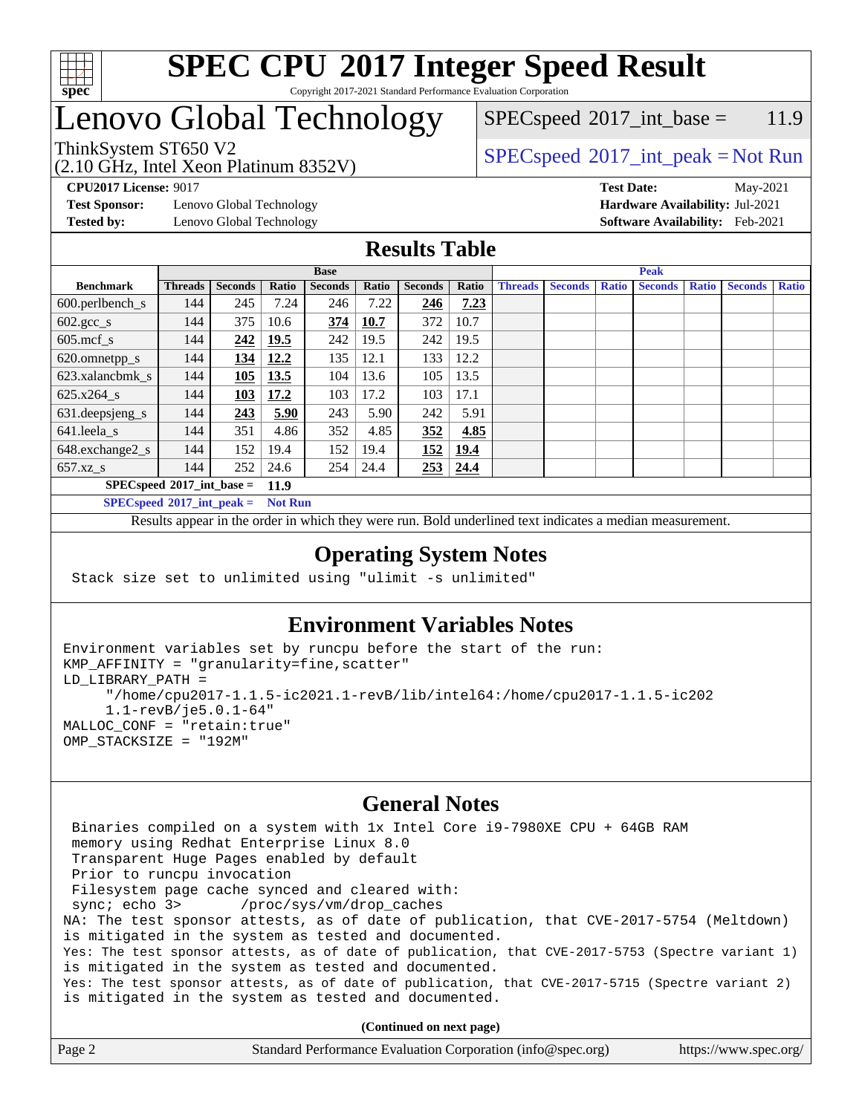

#### **[SPEC CPU](http://www.spec.org/auto/cpu2017/Docs/result-fields.html#SPECCPU2017IntegerSpeedResult)[2017 Integer Speed Result](http://www.spec.org/auto/cpu2017/Docs/result-fields.html#SPECCPU2017IntegerSpeedResult)** Copyright 2017-2021 Standard Performance Evaluation Corporation

# Lenovo Global Technology

(2.10 GHz, Intel Xeon Platinum 8352V)

 $SPEC speed^{\circ}2017\_int\_base = 11.9$ 

### ThinkSystem ST650 V2  $SPECspeed^{\circ}2017\_int\_peak = Not Run$  $SPECspeed^{\circ}2017\_int\_peak = Not Run$

**[Test Sponsor:](http://www.spec.org/auto/cpu2017/Docs/result-fields.html#TestSponsor)** Lenovo Global Technology **[Hardware Availability:](http://www.spec.org/auto/cpu2017/Docs/result-fields.html#HardwareAvailability)** Jul-2021 **[Tested by:](http://www.spec.org/auto/cpu2017/Docs/result-fields.html#Testedby)** Lenovo Global Technology **[Software Availability:](http://www.spec.org/auto/cpu2017/Docs/result-fields.html#SoftwareAvailability)** Feb-2021

**[CPU2017 License:](http://www.spec.org/auto/cpu2017/Docs/result-fields.html#CPU2017License)** 9017 **[Test Date:](http://www.spec.org/auto/cpu2017/Docs/result-fields.html#TestDate)** May-2021

### **[Results Table](http://www.spec.org/auto/cpu2017/Docs/result-fields.html#ResultsTable)**

| <b>Base</b>                 |                |                |       |                |       | <b>Peak</b>    |       |                |                |              |                |              |                |              |
|-----------------------------|----------------|----------------|-------|----------------|-------|----------------|-------|----------------|----------------|--------------|----------------|--------------|----------------|--------------|
| <b>Benchmark</b>            | <b>Threads</b> | <b>Seconds</b> | Ratio | <b>Seconds</b> | Ratio | <b>Seconds</b> | Ratio | <b>Threads</b> | <b>Seconds</b> | <b>Ratio</b> | <b>Seconds</b> | <b>Ratio</b> | <b>Seconds</b> | <b>Ratio</b> |
| $600.$ perlbench_s          | 144            | 245            | 7.24  | 246            | 7.22  | 246            | 7.23  |                |                |              |                |              |                |              |
| $602.\text{gcc}\_\text{s}$  | 144            | 375            | 10.6  | 374            | 10.7  | 372            | 10.7  |                |                |              |                |              |                |              |
| $605$ .mcf s                | 144            | 242            | 19.5  | 242            | 19.5  | 242            | 19.5  |                |                |              |                |              |                |              |
| 620.omnetpp_s               | 144            | 134            | 12.2  | 135            | 12.1  | 133            | 12.2  |                |                |              |                |              |                |              |
| 623.xalancbmk_s             | 144            | 105            | 13.5  | 104            | 13.6  | 105            | 13.5  |                |                |              |                |              |                |              |
| 625.x264 s                  | 144            | 103            | 17.2  | 103            | 17.2  | 103            | 17.1  |                |                |              |                |              |                |              |
| 631.deepsjeng_s             | 144            | 243            | 5.90  | 243            | 5.90  | 242            | 5.91  |                |                |              |                |              |                |              |
| 641.leela s                 | 144            | 351            | 4.86  | 352            | 4.85  | 352            | 4.85  |                |                |              |                |              |                |              |
| 648.exchange2_s             | 144            | 152            | 19.4  | 152            | 19.4  | 152            | 19.4  |                |                |              |                |              |                |              |
| $657.xz$ <sub>_S</sub>      | 144            | 252            | 24.6  | 254            | 24.4  | 253            | 24.4  |                |                |              |                |              |                |              |
| $SPECspeed*2017$ int base = |                |                | 11.9  |                |       |                |       |                |                |              |                |              |                |              |

**[SPECspeed](http://www.spec.org/auto/cpu2017/Docs/result-fields.html#SPECspeed2017intpeak)[2017\\_int\\_peak =](http://www.spec.org/auto/cpu2017/Docs/result-fields.html#SPECspeed2017intpeak) Not Run**

Results appear in the [order in which they were run.](http://www.spec.org/auto/cpu2017/Docs/result-fields.html#RunOrder) Bold underlined text [indicates a median measurement.](http://www.spec.org/auto/cpu2017/Docs/result-fields.html#Median)

### **[Operating System Notes](http://www.spec.org/auto/cpu2017/Docs/result-fields.html#OperatingSystemNotes)**

Stack size set to unlimited using "ulimit -s unlimited"

### **[Environment Variables Notes](http://www.spec.org/auto/cpu2017/Docs/result-fields.html#EnvironmentVariablesNotes)**

```
Environment variables set by runcpu before the start of the run:
KMP_AFFINITY = "granularity=fine,scatter"
LD_LIBRARY_PATH =
      "/home/cpu2017-1.1.5-ic2021.1-revB/lib/intel64:/home/cpu2017-1.1.5-ic202
      1.1-revB/je5.0.1-64"
MALLOC_CONF = "retain:true"
OMP_STACKSIZE = "192M"
```
### **[General Notes](http://www.spec.org/auto/cpu2017/Docs/result-fields.html#GeneralNotes)**

 Binaries compiled on a system with 1x Intel Core i9-7980XE CPU + 64GB RAM memory using Redhat Enterprise Linux 8.0 Transparent Huge Pages enabled by default Prior to runcpu invocation Filesystem page cache synced and cleared with: sync; echo 3> /proc/sys/vm/drop\_caches NA: The test sponsor attests, as of date of publication, that CVE-2017-5754 (Meltdown) is mitigated in the system as tested and documented. Yes: The test sponsor attests, as of date of publication, that CVE-2017-5753 (Spectre variant 1) is mitigated in the system as tested and documented. Yes: The test sponsor attests, as of date of publication, that CVE-2017-5715 (Spectre variant 2) is mitigated in the system as tested and documented.

**(Continued on next page)**

| Page 2 | Standard Performance Evaluation Corporation (info@spec.org) | https://www.spec.org/ |
|--------|-------------------------------------------------------------|-----------------------|
|--------|-------------------------------------------------------------|-----------------------|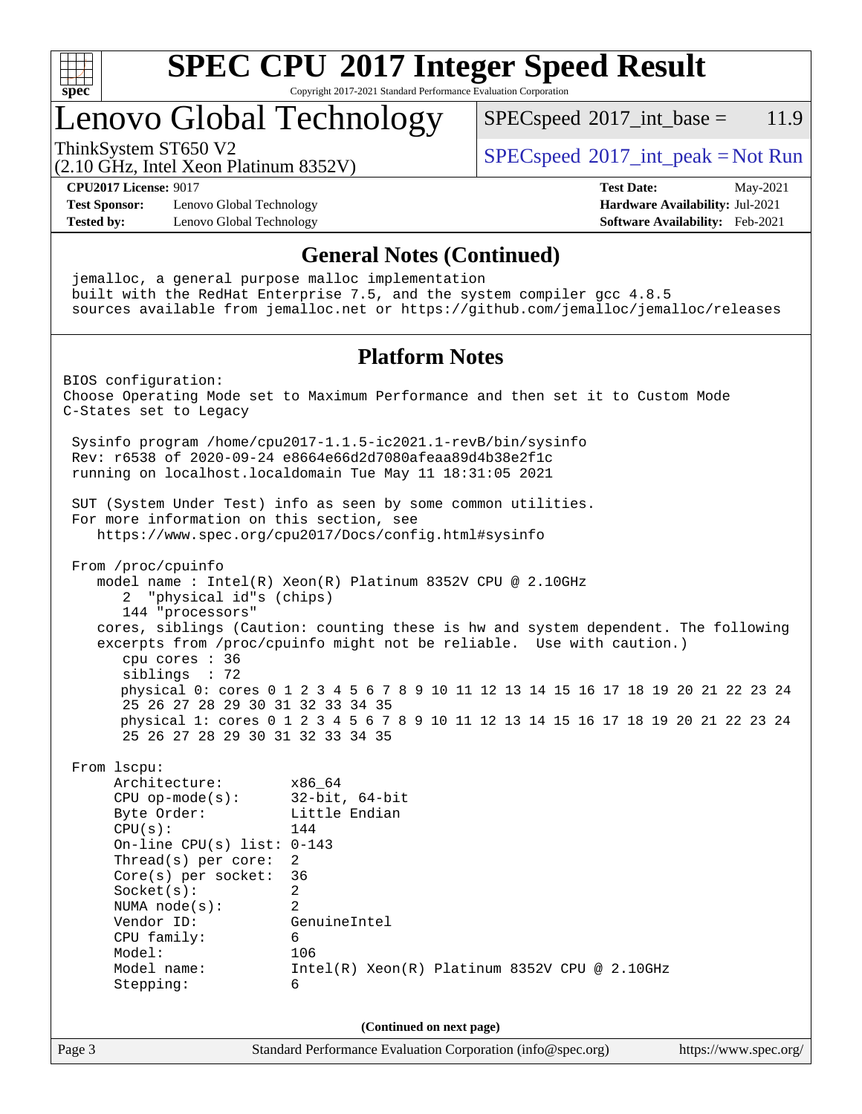

Copyright 2017-2021 Standard Performance Evaluation Corporation

## Lenovo Global Technology

 $SPECspeed^{\circ}2017\_int\_base = 11.9$  $SPECspeed^{\circ}2017\_int\_base = 11.9$ 

(2.10 GHz, Intel Xeon Platinum 8352V)

ThinkSystem ST650 V2<br>  $\begin{array}{c} \text{SPEC speed} \textdegree 2017\_int\_peak = Not Run \end{array}$ 

**[CPU2017 License:](http://www.spec.org/auto/cpu2017/Docs/result-fields.html#CPU2017License)** 9017 **[Test Date:](http://www.spec.org/auto/cpu2017/Docs/result-fields.html#TestDate)** May-2021

**[Test Sponsor:](http://www.spec.org/auto/cpu2017/Docs/result-fields.html#TestSponsor)** Lenovo Global Technology **[Hardware Availability:](http://www.spec.org/auto/cpu2017/Docs/result-fields.html#HardwareAvailability)** Jul-2021 **[Tested by:](http://www.spec.org/auto/cpu2017/Docs/result-fields.html#Testedby)** Lenovo Global Technology **[Software Availability:](http://www.spec.org/auto/cpu2017/Docs/result-fields.html#SoftwareAvailability)** Feb-2021

Page 3 Standard Performance Evaluation Corporation [\(info@spec.org\)](mailto:info@spec.org) <https://www.spec.org/> **[General Notes \(Continued\)](http://www.spec.org/auto/cpu2017/Docs/result-fields.html#GeneralNotes)** jemalloc, a general purpose malloc implementation built with the RedHat Enterprise 7.5, and the system compiler gcc 4.8.5 sources available from jemalloc.net or <https://github.com/jemalloc/jemalloc/releases> **[Platform Notes](http://www.spec.org/auto/cpu2017/Docs/result-fields.html#PlatformNotes)** BIOS configuration: Choose Operating Mode set to Maximum Performance and then set it to Custom Mode C-States set to Legacy Sysinfo program /home/cpu2017-1.1.5-ic2021.1-revB/bin/sysinfo Rev: r6538 of 2020-09-24 e8664e66d2d7080afeaa89d4b38e2f1c running on localhost.localdomain Tue May 11 18:31:05 2021 SUT (System Under Test) info as seen by some common utilities. For more information on this section, see <https://www.spec.org/cpu2017/Docs/config.html#sysinfo> From /proc/cpuinfo model name : Intel(R) Xeon(R) Platinum 8352V CPU @ 2.10GHz 2 "physical id"s (chips) 144 "processors" cores, siblings (Caution: counting these is hw and system dependent. The following excerpts from /proc/cpuinfo might not be reliable. Use with caution.) cpu cores : 36 siblings : 72 physical 0: cores 0 1 2 3 4 5 6 7 8 9 10 11 12 13 14 15 16 17 18 19 20 21 22 23 24 25 26 27 28 29 30 31 32 33 34 35 physical 1: cores 0 1 2 3 4 5 6 7 8 9 10 11 12 13 14 15 16 17 18 19 20 21 22 23 24 25 26 27 28 29 30 31 32 33 34 35 From lscpu: Architecture: x86\_64 CPU op-mode(s): 32-bit, 64-bit Byte Order: Little Endian  $CPU(s):$  144 On-line CPU(s) list: 0-143 Thread(s) per core: 2 Core(s) per socket: 36 Socket(s): 2 NUMA node(s): 2 Vendor ID: GenuineIntel CPU family: 6 Model: 106 Model name: Intel(R) Xeon(R) Platinum 8352V CPU @ 2.10GHz Stepping: 6 **(Continued on next page)**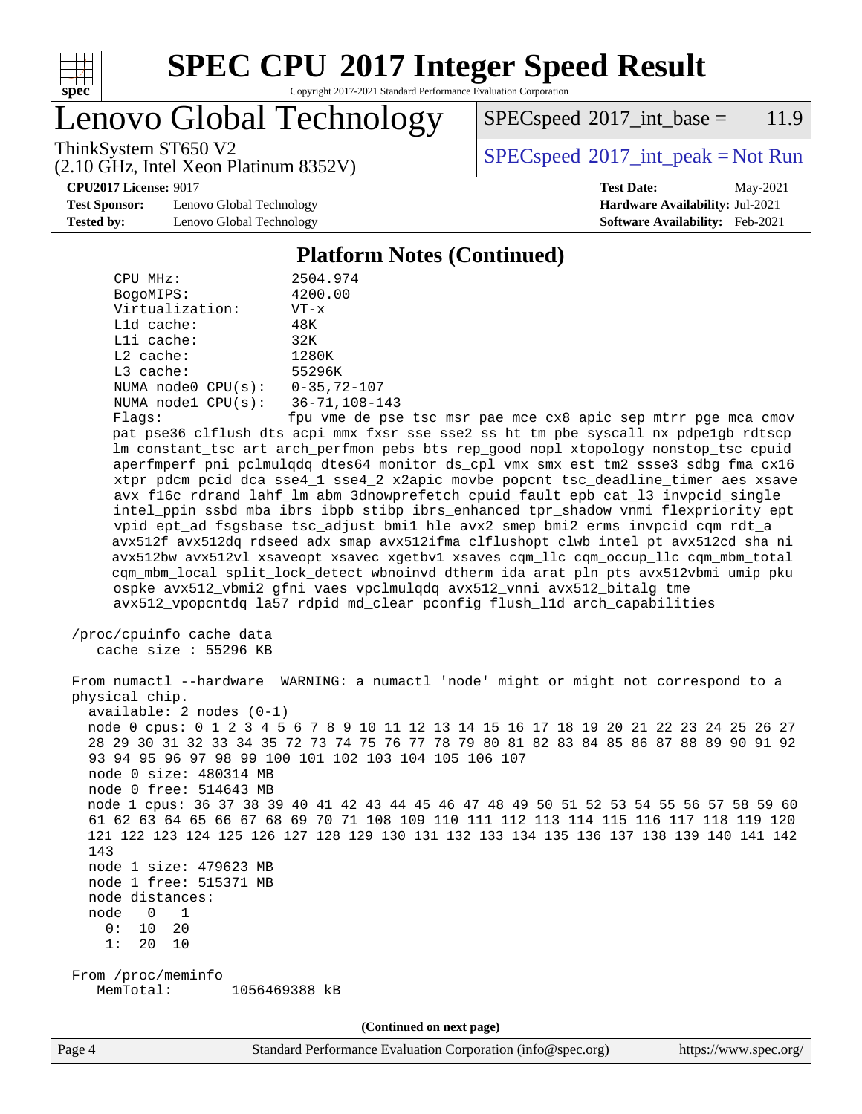

Copyright 2017-2021 Standard Performance Evaluation Corporation

Lenovo Global Technology

 $SPEC speed^{\circ}2017\_int\_base = 11.9$ 

(2.10 GHz, Intel Xeon Platinum 8352V)

ThinkSystem ST650 V2  $SPECspeed^{\circ}2017\_int\_peak = Not Run$  $SPECspeed^{\circ}2017\_int\_peak = Not Run$ 

**[Test Sponsor:](http://www.spec.org/auto/cpu2017/Docs/result-fields.html#TestSponsor)** Lenovo Global Technology **[Hardware Availability:](http://www.spec.org/auto/cpu2017/Docs/result-fields.html#HardwareAvailability)** Jul-2021 **[Tested by:](http://www.spec.org/auto/cpu2017/Docs/result-fields.html#Testedby)** Lenovo Global Technology **[Software Availability:](http://www.spec.org/auto/cpu2017/Docs/result-fields.html#SoftwareAvailability)** Feb-2021

**[CPU2017 License:](http://www.spec.org/auto/cpu2017/Docs/result-fields.html#CPU2017License)** 9017 **[Test Date:](http://www.spec.org/auto/cpu2017/Docs/result-fields.html#TestDate)** May-2021

#### **[Platform Notes \(Continued\)](http://www.spec.org/auto/cpu2017/Docs/result-fields.html#PlatformNotes)**

 CPU MHz: 2504.974 BogoMIPS: 4200.00 Virtualization: VT-x L1d cache: 48K L1i cache: 32K L2 cache: 1280K L3 cache: 55296K NUMA node0 CPU(s): 0-35,72-107 NUMA node1 CPU(s): 36-71,108-143 Flags: fpu vme de pse tsc msr pae mce cx8 apic sep mtrr pge mca cmov pat pse36 clflush dts acpi mmx fxsr sse sse2 ss ht tm pbe syscall nx pdpe1gb rdtscp lm constant\_tsc art arch\_perfmon pebs bts rep\_good nopl xtopology nonstop\_tsc cpuid aperfmperf pni pclmulqdq dtes64 monitor ds\_cpl vmx smx est tm2 ssse3 sdbg fma cx16 xtpr pdcm pcid dca sse4\_1 sse4\_2 x2apic movbe popcnt tsc\_deadline\_timer aes xsave avx f16c rdrand lahf\_lm abm 3dnowprefetch cpuid\_fault epb cat\_l3 invpcid\_single intel\_ppin ssbd mba ibrs ibpb stibp ibrs\_enhanced tpr\_shadow vnmi flexpriority ept vpid ept\_ad fsgsbase tsc\_adjust bmi1 hle avx2 smep bmi2 erms invpcid cqm rdt\_a avx512f avx512dq rdseed adx smap avx512ifma clflushopt clwb intel\_pt avx512cd sha\_ni avx512bw avx512vl xsaveopt xsavec xgetbv1 xsaves cqm\_llc cqm\_occup\_llc cqm\_mbm\_total cqm\_mbm\_local split\_lock\_detect wbnoinvd dtherm ida arat pln pts avx512vbmi umip pku ospke avx512\_vbmi2 gfni vaes vpclmulqdq avx512\_vnni avx512\_bitalg tme avx512\_vpopcntdq la57 rdpid md\_clear pconfig flush\_l1d arch\_capabilities /proc/cpuinfo cache data cache size : 55296 KB From numactl --hardware WARNING: a numactl 'node' might or might not correspond to a physical chip. available: 2 nodes (0-1) node 0 cpus: 0 1 2 3 4 5 6 7 8 9 10 11 12 13 14 15 16 17 18 19 20 21 22 23 24 25 26 27 28 29 30 31 32 33 34 35 72 73 74 75 76 77 78 79 80 81 82 83 84 85 86 87 88 89 90 91 92 93 94 95 96 97 98 99 100 101 102 103 104 105 106 107 node 0 size: 480314 MB node 0 free: 514643 MB node 1 cpus: 36 37 38 39 40 41 42 43 44 45 46 47 48 49 50 51 52 53 54 55 56 57 58 59 60 61 62 63 64 65 66 67 68 69 70 71 108 109 110 111 112 113 114 115 116 117 118 119 120 121 122 123 124 125 126 127 128 129 130 131 132 133 134 135 136 137 138 139 140 141 142 143 node 1 size: 479623 MB node 1 free: 515371 MB node distances: node 0 1 0: 10 20 1: 20 10 From /proc/meminfo MemTotal: 1056469388 kB **(Continued on next page)**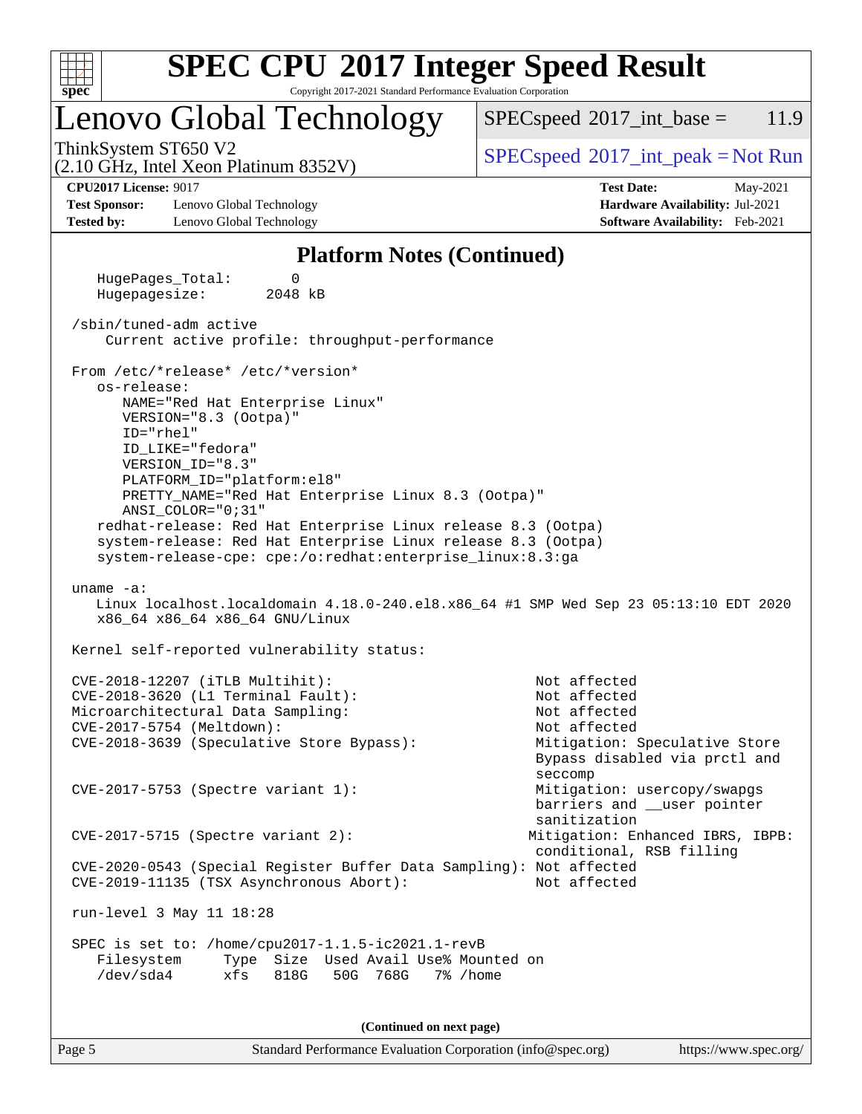

Copyright 2017-2021 Standard Performance Evaluation Corporation

## Lenovo Global Technology

 $SPECspeed^{\circ}2017\_int\_base = 11.9$  $SPECspeed^{\circ}2017\_int\_base = 11.9$ 

(2.10 GHz, Intel Xeon Platinum 8352V)

ThinkSystem ST650 V2<br>  $\begin{array}{c} \text{SPEC speed} \textdegree 2017\_int\_peak = Not Run \end{array}$ 

#### **[CPU2017 License:](http://www.spec.org/auto/cpu2017/Docs/result-fields.html#CPU2017License)** 9017 **[Test Date:](http://www.spec.org/auto/cpu2017/Docs/result-fields.html#TestDate)** May-2021

**[Test Sponsor:](http://www.spec.org/auto/cpu2017/Docs/result-fields.html#TestSponsor)** Lenovo Global Technology **[Hardware Availability:](http://www.spec.org/auto/cpu2017/Docs/result-fields.html#HardwareAvailability)** Jul-2021 **[Tested by:](http://www.spec.org/auto/cpu2017/Docs/result-fields.html#Testedby)** Lenovo Global Technology **[Software Availability:](http://www.spec.org/auto/cpu2017/Docs/result-fields.html#SoftwareAvailability)** Feb-2021

# **[Platform Notes \(Continued\)](http://www.spec.org/auto/cpu2017/Docs/result-fields.html#PlatformNotes)**

 HugePages\_Total: 0 Hugepagesize: 2048 kB /sbin/tuned-adm active Current active profile: throughput-performance From /etc/\*release\* /etc/\*version\* os-release: NAME="Red Hat Enterprise Linux" VERSION="8.3 (Ootpa)" ID="rhel" ID\_LIKE="fedora" VERSION\_ID="8.3" PLATFORM\_ID="platform:el8" PRETTY\_NAME="Red Hat Enterprise Linux 8.3 (Ootpa)" ANSI\_COLOR="0;31" redhat-release: Red Hat Enterprise Linux release 8.3 (Ootpa) system-release: Red Hat Enterprise Linux release 8.3 (Ootpa) system-release-cpe: cpe:/o:redhat:enterprise\_linux:8.3:ga uname -a: Linux localhost.localdomain 4.18.0-240.el8.x86\_64 #1 SMP Wed Sep 23 05:13:10 EDT 2020 x86\_64 x86\_64 x86\_64 GNU/Linux Kernel self-reported vulnerability status: CVE-2018-12207 (iTLB Multihit): Not affected CVE-2018-3620 (L1 Terminal Fault): Not affected Microarchitectural Data Sampling: Not affected CVE-2017-5754 (Meltdown): Not affected CVE-2018-3639 (Speculative Store Bypass): Mitigation: Speculative Store Bypass disabled via prctl and seccomp CVE-2017-5753 (Spectre variant 1): Mitigation: usercopy/swapgs barriers and \_\_user pointer sanitization CVE-2017-5715 (Spectre variant 2): Mitigation: Enhanced IBRS, IBPB: conditional, RSB filling CVE-2020-0543 (Special Register Buffer Data Sampling): Not affected CVE-2019-11135 (TSX Asynchronous Abort): Not affected run-level 3 May 11 18:28 SPEC is set to: /home/cpu2017-1.1.5-ic2021.1-revB Filesystem Type Size Used Avail Use% Mounted on /dev/sda4 xfs 818G 50G 768G 7% /home

**(Continued on next page)**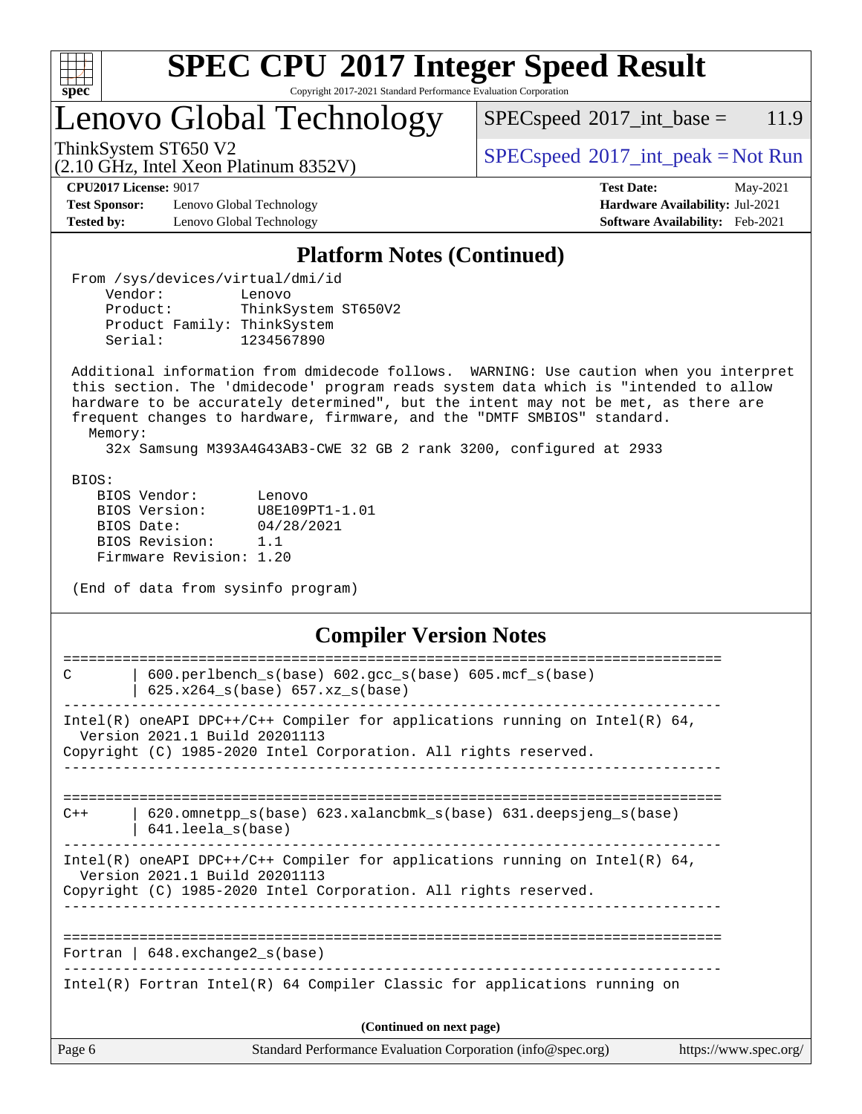

Copyright 2017-2021 Standard Performance Evaluation Corporation

# Lenovo Global Technology

 $SPEC speed^{\circ}2017\_int\_base = 11.9$ 

(2.10 GHz, Intel Xeon Platinum 8352V)

ThinkSystem ST650 V2  $SPECspeed^{\circ}2017\_int\_peak = Not Run$  $SPECspeed^{\circ}2017\_int\_peak = Not Run$ 

**[Test Sponsor:](http://www.spec.org/auto/cpu2017/Docs/result-fields.html#TestSponsor)** Lenovo Global Technology **[Hardware Availability:](http://www.spec.org/auto/cpu2017/Docs/result-fields.html#HardwareAvailability)** Jul-2021 **[Tested by:](http://www.spec.org/auto/cpu2017/Docs/result-fields.html#Testedby)** Lenovo Global Technology **[Software Availability:](http://www.spec.org/auto/cpu2017/Docs/result-fields.html#SoftwareAvailability)** Feb-2021

**[CPU2017 License:](http://www.spec.org/auto/cpu2017/Docs/result-fields.html#CPU2017License)** 9017 **[Test Date:](http://www.spec.org/auto/cpu2017/Docs/result-fields.html#TestDate)** May-2021

### **[Platform Notes \(Continued\)](http://www.spec.org/auto/cpu2017/Docs/result-fields.html#PlatformNotes)**

 From /sys/devices/virtual/dmi/id Vendor: Lenovo<br>Product: ThinkS ThinkSystem ST650V2 Product Family: ThinkSystem Serial: 1234567890

 Additional information from dmidecode follows. WARNING: Use caution when you interpret this section. The 'dmidecode' program reads system data which is "intended to allow hardware to be accurately determined", but the intent may not be met, as there are frequent changes to hardware, firmware, and the "DMTF SMBIOS" standard.

Memory:

32x Samsung M393A4G43AB3-CWE 32 GB 2 rank 3200, configured at 2933

BIOS:

 BIOS Vendor: Lenovo BIOS Version: U8E109PT1-1.01 BIOS Date: 04/28/2021 BIOS Revision: 1.1 Firmware Revision: 1.20

(End of data from sysinfo program)

### **[Compiler Version Notes](http://www.spec.org/auto/cpu2017/Docs/result-fields.html#CompilerVersionNotes)**

| Page 6 | Standard Performance Evaluation Corporation (info@spec.org)                                                                                                                        | https://www.spec.org/ |
|--------|------------------------------------------------------------------------------------------------------------------------------------------------------------------------------------|-----------------------|
|        | (Continued on next page)                                                                                                                                                           |                       |
|        | Intel(R) Fortran Intel(R) $64$ Compiler Classic for applications running on                                                                                                        |                       |
|        | Fortran   $648$ . exchange2 $s(base)$                                                                                                                                              |                       |
|        | Intel(R) oneAPI DPC++/C++ Compiler for applications running on Intel(R) $64$ ,<br>Version 2021.1 Build 20201113<br>Copyright (C) 1985-2020 Intel Corporation. All rights reserved. |                       |
| $C++$  | 620.omnetpp_s(base) 623.xalancbmk_s(base) 631.deepsjeng_s(base)<br>$641.$ leela_s(base)                                                                                            |                       |
|        | Intel(R) oneAPI DPC++/C++ Compiler for applications running on Intel(R) $64$ ,<br>Version 2021.1 Build 20201113<br>Copyright (C) 1985-2020 Intel Corporation. All rights reserved. |                       |
| C      | 600.perlbench_s(base) 602.gcc_s(base) 605.mcf_s(base)<br>$625.x264_s(base) 657.xz_s(base)$                                                                                         |                       |
|        |                                                                                                                                                                                    |                       |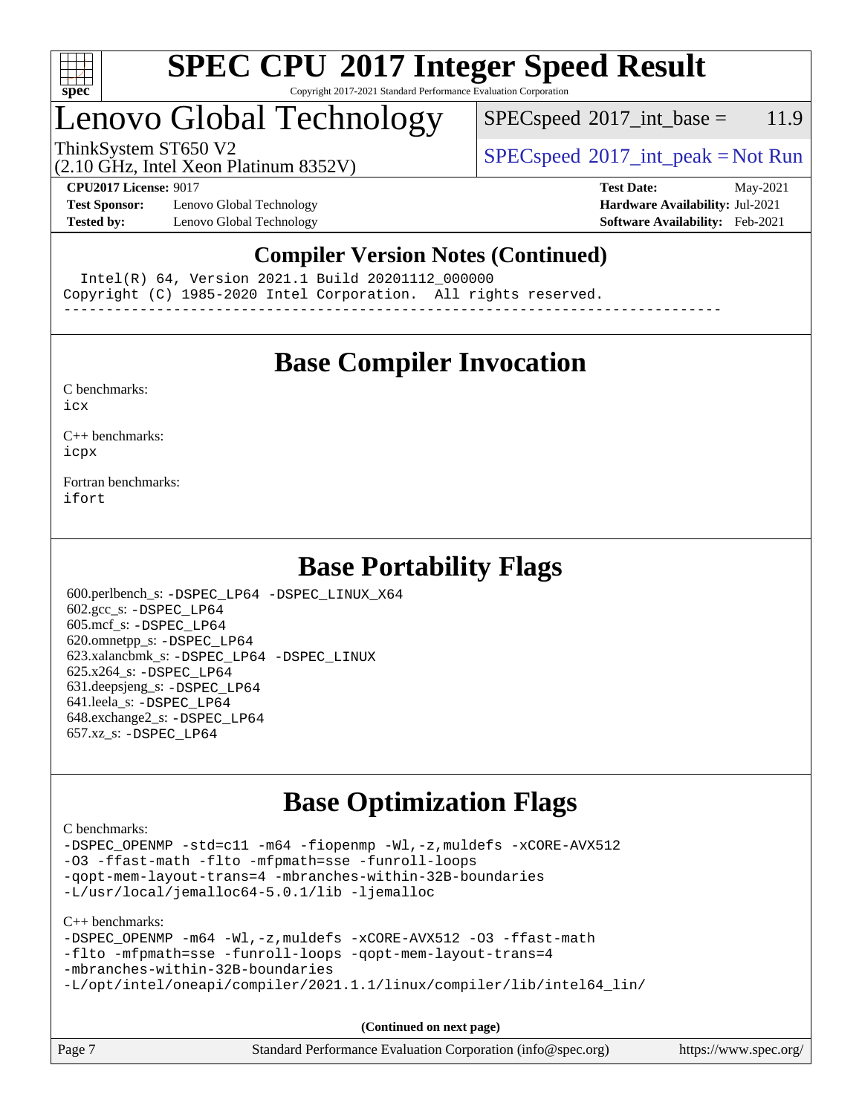

#### **[SPEC CPU](http://www.spec.org/auto/cpu2017/Docs/result-fields.html#SPECCPU2017IntegerSpeedResult)[2017 Integer Speed Result](http://www.spec.org/auto/cpu2017/Docs/result-fields.html#SPECCPU2017IntegerSpeedResult)** Copyright 2017-2021 Standard Performance Evaluation Corporation

## Lenovo Global Technology

 $SPECspeed^{\circ}2017\_int\_base = 11.9$  $SPECspeed^{\circ}2017\_int\_base = 11.9$ 

(2.10 GHz, Intel Xeon Platinum 8352V)

ThinkSystem ST650 V2<br>  $\begin{array}{c} \text{SPEC speed} \textdegree 2017\_int\_peak = Not Run \end{array}$ 

**[Test Sponsor:](http://www.spec.org/auto/cpu2017/Docs/result-fields.html#TestSponsor)** Lenovo Global Technology **[Hardware Availability:](http://www.spec.org/auto/cpu2017/Docs/result-fields.html#HardwareAvailability)** Jul-2021 **[Tested by:](http://www.spec.org/auto/cpu2017/Docs/result-fields.html#Testedby)** Lenovo Global Technology **[Software Availability:](http://www.spec.org/auto/cpu2017/Docs/result-fields.html#SoftwareAvailability)** Feb-2021

**[CPU2017 License:](http://www.spec.org/auto/cpu2017/Docs/result-fields.html#CPU2017License)** 9017 **[Test Date:](http://www.spec.org/auto/cpu2017/Docs/result-fields.html#TestDate)** May-2021

### **[Compiler Version Notes \(Continued\)](http://www.spec.org/auto/cpu2017/Docs/result-fields.html#CompilerVersionNotes)**

Intel(R) 64, Version 2021.1 Build 20201112\_000000

Copyright (C) 1985-2020 Intel Corporation. All rights reserved.

------------------------------------------------------------------------------

### **[Base Compiler Invocation](http://www.spec.org/auto/cpu2017/Docs/result-fields.html#BaseCompilerInvocation)**

[C benchmarks](http://www.spec.org/auto/cpu2017/Docs/result-fields.html#Cbenchmarks):

[icx](http://www.spec.org/cpu2017/results/res2021q2/cpu2017-20210524-26715.flags.html#user_CCbase_intel_icx_fe2d28d19ae2a5db7c42fe0f2a2aed77cb715edd4aeb23434404a8be6683fe239869bb6ca8154ca98265c2e3b9226a719a0efe2953a4a7018c379b7010ccf087)

[C++ benchmarks:](http://www.spec.org/auto/cpu2017/Docs/result-fields.html#CXXbenchmarks) [icpx](http://www.spec.org/cpu2017/results/res2021q2/cpu2017-20210524-26715.flags.html#user_CXXbase_intel_icpx_1e918ed14c436bf4b9b7c8bcdd51d4539fc71b3df010bd1e9f8732d9c34c2b2914e48204a846820f3c0ebb4095dea797a5c30b458ac0b6dffac65d78f781f5ca)

[Fortran benchmarks](http://www.spec.org/auto/cpu2017/Docs/result-fields.html#Fortranbenchmarks): [ifort](http://www.spec.org/cpu2017/results/res2021q2/cpu2017-20210524-26715.flags.html#user_FCbase_intel_ifort_8111460550e3ca792625aed983ce982f94888b8b503583aa7ba2b8303487b4d8a21a13e7191a45c5fd58ff318f48f9492884d4413fa793fd88dd292cad7027ca)

### **[Base Portability Flags](http://www.spec.org/auto/cpu2017/Docs/result-fields.html#BasePortabilityFlags)**

 600.perlbench\_s: [-DSPEC\\_LP64](http://www.spec.org/cpu2017/results/res2021q2/cpu2017-20210524-26715.flags.html#b600.perlbench_s_basePORTABILITY_DSPEC_LP64) [-DSPEC\\_LINUX\\_X64](http://www.spec.org/cpu2017/results/res2021q2/cpu2017-20210524-26715.flags.html#b600.perlbench_s_baseCPORTABILITY_DSPEC_LINUX_X64) 602.gcc\_s: [-DSPEC\\_LP64](http://www.spec.org/cpu2017/results/res2021q2/cpu2017-20210524-26715.flags.html#suite_basePORTABILITY602_gcc_s_DSPEC_LP64) 605.mcf\_s: [-DSPEC\\_LP64](http://www.spec.org/cpu2017/results/res2021q2/cpu2017-20210524-26715.flags.html#suite_basePORTABILITY605_mcf_s_DSPEC_LP64) 620.omnetpp\_s: [-DSPEC\\_LP64](http://www.spec.org/cpu2017/results/res2021q2/cpu2017-20210524-26715.flags.html#suite_basePORTABILITY620_omnetpp_s_DSPEC_LP64) 623.xalancbmk\_s: [-DSPEC\\_LP64](http://www.spec.org/cpu2017/results/res2021q2/cpu2017-20210524-26715.flags.html#suite_basePORTABILITY623_xalancbmk_s_DSPEC_LP64) [-DSPEC\\_LINUX](http://www.spec.org/cpu2017/results/res2021q2/cpu2017-20210524-26715.flags.html#b623.xalancbmk_s_baseCXXPORTABILITY_DSPEC_LINUX) 625.x264\_s: [-DSPEC\\_LP64](http://www.spec.org/cpu2017/results/res2021q2/cpu2017-20210524-26715.flags.html#suite_basePORTABILITY625_x264_s_DSPEC_LP64) 631.deepsjeng\_s: [-DSPEC\\_LP64](http://www.spec.org/cpu2017/results/res2021q2/cpu2017-20210524-26715.flags.html#suite_basePORTABILITY631_deepsjeng_s_DSPEC_LP64) 641.leela\_s: [-DSPEC\\_LP64](http://www.spec.org/cpu2017/results/res2021q2/cpu2017-20210524-26715.flags.html#suite_basePORTABILITY641_leela_s_DSPEC_LP64) 648.exchange2\_s: [-DSPEC\\_LP64](http://www.spec.org/cpu2017/results/res2021q2/cpu2017-20210524-26715.flags.html#suite_basePORTABILITY648_exchange2_s_DSPEC_LP64) 657.xz\_s: [-DSPEC\\_LP64](http://www.spec.org/cpu2017/results/res2021q2/cpu2017-20210524-26715.flags.html#suite_basePORTABILITY657_xz_s_DSPEC_LP64)

## **[Base Optimization Flags](http://www.spec.org/auto/cpu2017/Docs/result-fields.html#BaseOptimizationFlags)**

[C benchmarks](http://www.spec.org/auto/cpu2017/Docs/result-fields.html#Cbenchmarks):

[-DSPEC\\_OPENMP](http://www.spec.org/cpu2017/results/res2021q2/cpu2017-20210524-26715.flags.html#suite_CCbase_DSPEC_OPENMP) [-std=c11](http://www.spec.org/cpu2017/results/res2021q2/cpu2017-20210524-26715.flags.html#user_CCbase_std-icc-std_0e1c27790398a4642dfca32ffe6c27b5796f9c2d2676156f2e42c9c44eaad0c049b1cdb667a270c34d979996257aeb8fc440bfb01818dbc9357bd9d174cb8524) [-m64](http://www.spec.org/cpu2017/results/res2021q2/cpu2017-20210524-26715.flags.html#user_CCbase_m64-icc) [-fiopenmp](http://www.spec.org/cpu2017/results/res2021q2/cpu2017-20210524-26715.flags.html#user_CCbase_fiopenmp_4cde26b3fcccd23bd0bb70af4efc204325d72839eefa1147e34201101709f20b3deb62aad96701dea148529bf4ca48c90b72f3bf837ca148e297cf8a0ba6feb7) [-Wl,-z,muldefs](http://www.spec.org/cpu2017/results/res2021q2/cpu2017-20210524-26715.flags.html#user_CCbase_link_force_multiple1_b4cbdb97b34bdee9ceefcfe54f4c8ea74255f0b02a4b23e853cdb0e18eb4525ac79b5a88067c842dd0ee6996c24547a27a4b99331201badda8798ef8a743f577) [-xCORE-AVX512](http://www.spec.org/cpu2017/results/res2021q2/cpu2017-20210524-26715.flags.html#user_CCbase_f-xCORE-AVX512) [-O3](http://www.spec.org/cpu2017/results/res2021q2/cpu2017-20210524-26715.flags.html#user_CCbase_f-O3) [-ffast-math](http://www.spec.org/cpu2017/results/res2021q2/cpu2017-20210524-26715.flags.html#user_CCbase_f-ffast-math) [-flto](http://www.spec.org/cpu2017/results/res2021q2/cpu2017-20210524-26715.flags.html#user_CCbase_f-flto) [-mfpmath=sse](http://www.spec.org/cpu2017/results/res2021q2/cpu2017-20210524-26715.flags.html#user_CCbase_f-mfpmath_70eb8fac26bde974f8ab713bc9086c5621c0b8d2f6c86f38af0bd7062540daf19db5f3a066d8c6684be05d84c9b6322eb3b5be6619d967835195b93d6c02afa1) [-funroll-loops](http://www.spec.org/cpu2017/results/res2021q2/cpu2017-20210524-26715.flags.html#user_CCbase_f-funroll-loops) [-qopt-mem-layout-trans=4](http://www.spec.org/cpu2017/results/res2021q2/cpu2017-20210524-26715.flags.html#user_CCbase_f-qopt-mem-layout-trans_fa39e755916c150a61361b7846f310bcdf6f04e385ef281cadf3647acec3f0ae266d1a1d22d972a7087a248fd4e6ca390a3634700869573d231a252c784941a8) [-mbranches-within-32B-boundaries](http://www.spec.org/cpu2017/results/res2021q2/cpu2017-20210524-26715.flags.html#user_CCbase_f-mbranches-within-32B-boundaries) [-L/usr/local/jemalloc64-5.0.1/lib](http://www.spec.org/cpu2017/results/res2021q2/cpu2017-20210524-26715.flags.html#user_CCbase_jemalloc_link_path64_1_cc289568b1a6c0fd3b62c91b824c27fcb5af5e8098e6ad028160d21144ef1b8aef3170d2acf0bee98a8da324cfe4f67d0a3d0c4cc4673d993d694dc2a0df248b) [-ljemalloc](http://www.spec.org/cpu2017/results/res2021q2/cpu2017-20210524-26715.flags.html#user_CCbase_jemalloc_link_lib_d1249b907c500fa1c0672f44f562e3d0f79738ae9e3c4a9c376d49f265a04b9c99b167ecedbf6711b3085be911c67ff61f150a17b3472be731631ba4d0471706)

[C++ benchmarks:](http://www.spec.org/auto/cpu2017/Docs/result-fields.html#CXXbenchmarks)

```
-m64-Wl,-z,muldefs-xCORE-AVX512-O3-ffast-math
-flto -mfpmath=sse -funroll-loops -qopt-mem-layout-trans=4
-mbranches-within-32B-boundaries
-L/opt/intel/oneapi/compiler/2021.1.1/linux/compiler/lib/intel64_lin/
```
**(Continued on next page)**

| Page 7<br>Standard Performance Evaluation Corporation (info@spec.org)<br>https://www.spec.org/ |
|------------------------------------------------------------------------------------------------|
|------------------------------------------------------------------------------------------------|